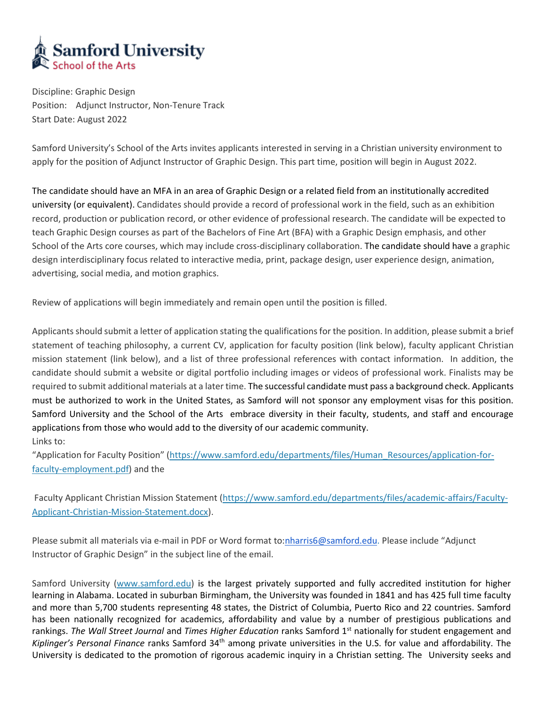

Discipline: Graphic Design Position: Adjunct Instructor, Non-Tenure Track Start Date: August 2022

Samford University's School of the Arts invites applicants interested in serving in a Christian university environment to apply for the position of Adjunct Instructor of Graphic Design. This part time, position will begin in August 2022.

The candidate should have an MFA in an area of Graphic Design or a related field from an institutionally accredited university (or equivalent). Candidates should provide a record of professional work in the field, such as an exhibition record, production or publication record, or other evidence of professional research. The candidate will be expected to teach Graphic Design courses as part of the Bachelors of Fine Art (BFA) with a Graphic Design emphasis, and other School of the Arts core courses, which may include cross-disciplinary collaboration. The candidate should have a graphic design interdisciplinary focus related to interactive media, print, package design, user experience design, animation, advertising, social media, and motion graphics.

Review of applications will begin immediately and remain open until the position is filled.

Applicants should submit a letter of application stating the qualifications for the position. In addition, please submit a brief statement of teaching philosophy, a current CV, application for faculty position (link below), faculty applicant Christian mission statement (link below), and a list of three professional references with contact information. In addition, the candidate should submit a website or digital portfolio including images or videos of professional work. Finalists may be required to submit additional materials at a later time. The successful candidate must pass a background check. Applicants must be authorized to work in the United States, as Samford will not sponsor any employment visas for this position. Samford University and the School of the Arts embrace diversity in their faculty, students, and staff and encourage applications from those who would add to the diversity of our academic community. Links to:

"Application for Faculty Position" ([https://www.samford.edu/departments/files/Human\\_Resources/application-for](https://www.samford.edu/departments/files/Human_Resources/application-for-faculty-employment.pdf)[faculty-employment.pdf\)](https://www.samford.edu/departments/files/Human_Resources/application-for-faculty-employment.pdf) and the

Faculty Applicant Christian Mission Statement [\(https://www.samford.edu/departments/files/academic-affairs/Faculty-](https://www.samford.edu/departments/files/academic-affairs/Faculty-Applicant-Christian-Mission-Statement.docx)[Applicant-Christian-Mission-Statement.docx\)](https://www.samford.edu/departments/files/academic-affairs/Faculty-Applicant-Christian-Mission-Statement.docx).

Please submit all materials via e-mail in PDF or Word format to[:nharris6@samford.edu.](mailto:nharris6@samford.edu) Please include "Adjunct Instructor of Graphic Design" in the subject line of the email.

Samford University [\(www.samford.edu\)](http://www.samford.edu/) is the largest privately supported and fully accredited institution for higher learning in Alabama. Located in suburban Birmingham, the University was founded in 1841 and has 425 full time faculty and more than 5,700 students representing 48 states, the District of Columbia, Puerto Rico and 22 countries. Samford has been nationally recognized for academics, affordability and value by a number of prestigious publications and rankings. *The Wall Street Journal* and *Times Higher Education* ranks Samford 1st nationally for student engagement and Kiplinger's Personal Finance ranks Samford 34<sup>th</sup> among private universities in the U.S. for value and affordability. The University is dedicated to the promotion of rigorous academic inquiry in a Christian setting. The University seeks and